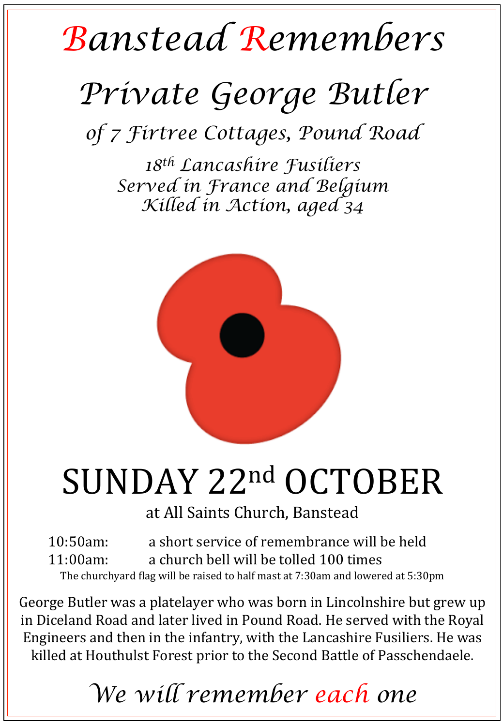## *Banstead Remembers*

## *Private George Butler*

*of 7 Firtree Cottages, Pound Road*

*18th Lancashire Fusiliers Served in France and Belgium Killed in Action, aged 34* 



## SUNDAY 22nd OCTOBER

at All Saints Church, Banstead

10:50am: a short service of remembrance will be held 11:00am: a church bell will be tolled 100 times The churchyard flag will be raised to half mast at 7:30am and lowered at 5:30pm

George Butler was a platelayer who was born in Lincolnshire but grew up in Diceland Road and later lived in Pound Road. He served with the Royal Engineers and then in the infantry, with the Lancashire Fusiliers. He was killed at Houthulst Forest prior to the Second Battle of Passchendaele.

*We will remember each one*